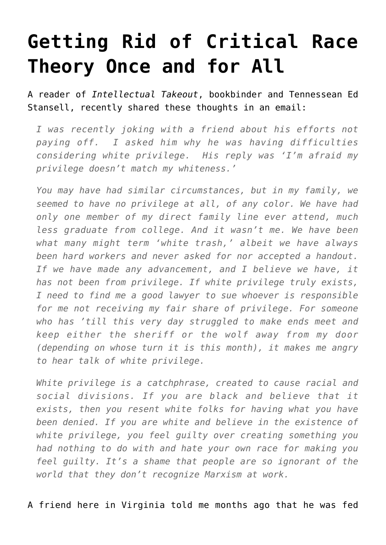## **[Getting Rid of Critical Race](https://intellectualtakeout.org/2020/09/getting-rid-of-critical-race-theory-once-and-for-all/) [Theory Once and for All](https://intellectualtakeout.org/2020/09/getting-rid-of-critical-race-theory-once-and-for-all/)**

A reader of *Intellectual Takeout*, bookbinder and Tennessean Ed Stansell, recently shared these thoughts in an email:

*I was recently joking with a friend about his efforts not paying off. I asked him why he was having difficulties considering white privilege. His reply was 'I'm afraid my privilege doesn't match my whiteness.'*

*You may have had similar circumstances, but in my family, we seemed to have no privilege at all, of any color. We have had only one member of my direct family line ever attend, much less graduate from college. And it wasn't me. We have been what many might term 'white trash,' albeit we have always been hard workers and never asked for nor accepted a handout. If we have made any advancement, and I believe we have, it has not been from privilege. If white privilege truly exists, I need to find me a good lawyer to sue whoever is responsible for me not receiving my fair share of privilege. For someone who has 'till this very day struggled to make ends meet and keep either the sheriff or the wolf away from my door (depending on whose turn it is this month), it makes me angry to hear talk of white privilege.*

*White privilege is a catchphrase, created to cause racial and social divisions. If you are black and believe that it exists, then you resent white folks for having what you have been denied. If you are white and believe in the existence of white privilege, you feel guilty over creating something you had nothing to do with and hate your own race for making you feel guilty. It's a shame that people are so ignorant of the world that they don't recognize Marxism at work.*

A friend here in Virginia told me months ago that he was fed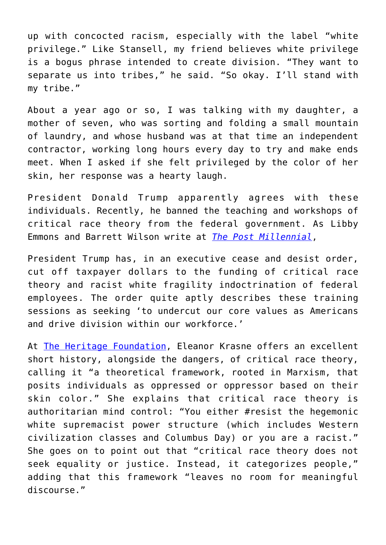up with concocted racism, especially with the label "white privilege." Like Stansell, my friend believes white privilege is a bogus phrase intended to create division. "They want to separate us into tribes," he said. "So okay. I'll stand with my tribe."

About a year ago or so, I was talking with my daughter, a mother of seven, who was sorting and folding a small mountain of laundry, and whose husband was at that time an independent contractor, working long hours every day to try and make ends meet. When I asked if she felt privileged by the color of her skin, her response was a hearty laugh.

President Donald Trump apparently agrees with these individuals. Recently, he banned the teaching and workshops of critical race theory from the federal government. As Libby Emmons and Barrett Wilson write at *[The Post Millennial](https://thepostmillennial.com/trump-ban-race-theory-indoctrination)*,

President Trump has, in an executive cease and desist order, cut off taxpayer dollars to the funding of critical race theory and racist white fragility indoctrination of federal employees. The order quite aptly describes these training sessions as seeking 'to undercut our core values as Americans and drive division within our workforce.'

At [The Heritage Foundation](https://www.heritage.org/civil-society/commentary/how-leftists-critical-race-theory-poisons-our-discussion-racism), Eleanor Krasne offers an excellent short history, alongside the dangers, of critical race theory, calling it "a theoretical framework, rooted in Marxism, that posits individuals as oppressed or oppressor based on their skin color." She explains that critical race theory is authoritarian mind control: "You either #resist the hegemonic white supremacist power structure (which includes Western civilization classes and Columbus Day) or you are a racist." She goes on to point out that "critical race theory does not seek equality or justice. Instead, it categorizes people," adding that this framework "leaves no room for meaningful discourse."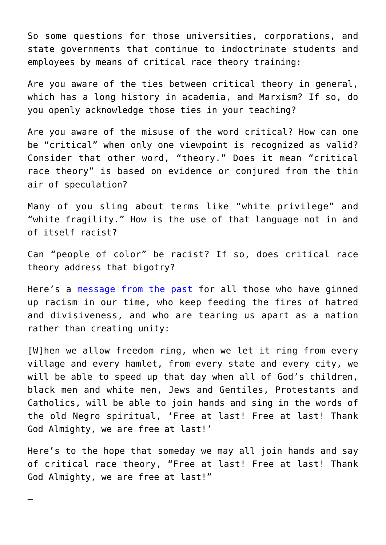So some questions for those universities, corporations, and state governments that continue to indoctrinate students and employees by means of critical race theory training:

Are you aware of the ties between critical theory in general, which has a long history in academia, and Marxism? If so, do you openly acknowledge those ties in your teaching?

Are you aware of the misuse of the word critical? How can one be "critical" when only one viewpoint is recognized as valid? Consider that other word, "theory." Does it mean "critical race theory" is based on evidence or conjured from the thin air of speculation?

Many of you sling about terms like "white privilege" and "white fragility." How is the use of that language not in and of itself racist?

Can "people of color" be racist? If so, does critical race theory address that bigotry?

Here's a [message from the past](https://www.americanrhetoric.com/speeches/mlkihaveadream.htm) for all those who have ginned up racism in our time, who keep feeding the fires of hatred and divisiveness, and who are tearing us apart as a nation rather than creating unity:

[W]hen we allow freedom ring, when we let it ring from every village and every hamlet, from every state and every city, we will be able to speed up that day when all of God's children, black men and white men, Jews and Gentiles, Protestants and Catholics, will be able to join hands and sing in the words of the old Negro spiritual, 'Free at last! Free at last! Thank God Almighty, we are free at last!'

Here's to the hope that someday we may all join hands and say of critical race theory, "Free at last! Free at last! Thank God Almighty, we are free at last!"

—